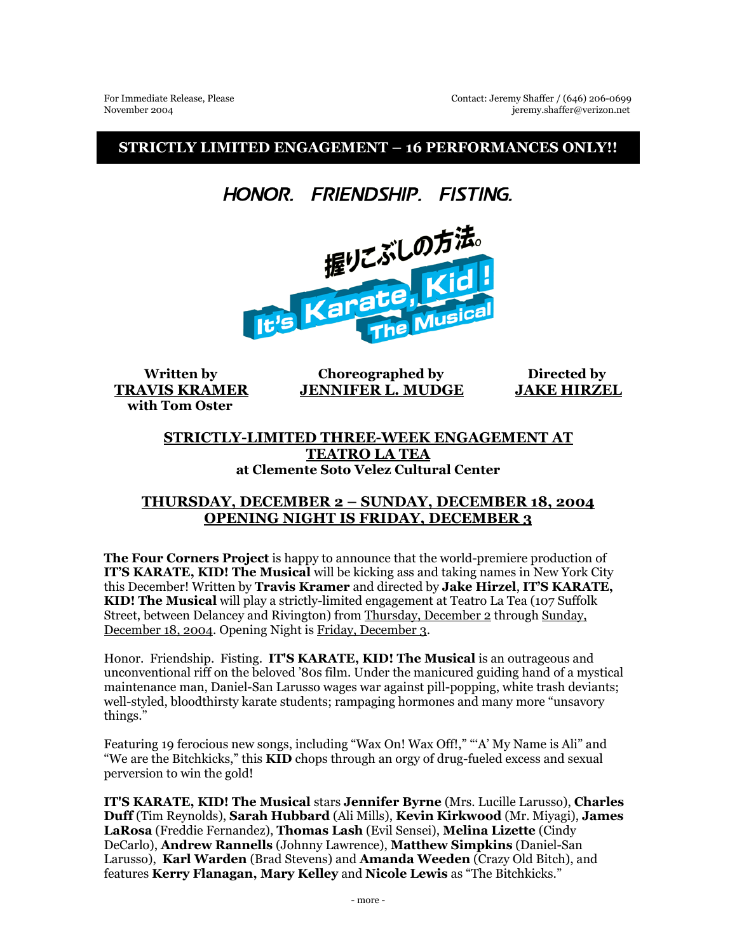**STRICTLY LIMITED ENGAGEMENT – 16 PERFORMANCES ONLY!!** 

Honor. Friendship. Fisting.



 **with Tom Oster** 

 **Written by Choreographed by Directed by TRAVIS KRAMER JENNIFER L. MUDGE JAKE HIRZEL**

## **STRICTLY-LIMITED THREE-WEEK ENGAGEMENT AT TEATRO LA TEA at Clemente Soto Velez Cultural Center**

## **THURSDAY, DECEMBER 2 – SUNDAY, DECEMBER 18, 2004 OPENING NIGHT IS FRIDAY, DECEMBER 3**

**The Four Corners Project** is happy to announce that the world-premiere production of **IT'S KARATE, KID! The Musical** will be kicking ass and taking names in New York City this December! Written by **Travis Kramer** and directed by **Jake Hirzel**, **IT'S KARATE, KID! The Musical** will play a strictly-limited engagement at Teatro La Tea (107 Suffolk Street, between Delancey and Rivington) from Thursday, December 2 through Sunday, December 18, 2004. Opening Night is Friday, December 3.

Honor. Friendship. Fisting. **IT'S KARATE, KID! The Musical** is an outrageous and unconventional riff on the beloved '80s film. Under the manicured guiding hand of a mystical maintenance man, Daniel-San Larusso wages war against pill-popping, white trash deviants; well-styled, bloodthirsty karate students; rampaging hormones and many more "unsavory things."

Featuring 19 ferocious new songs, including "Wax On! Wax Off!," "'A' My Name is Ali" and "We are the Bitchkicks," this **KID** chops through an orgy of drug-fueled excess and sexual perversion to win the gold!

**IT'S KARATE, KID! The Musical** stars **Jennifer Byrne** (Mrs. Lucille Larusso), **Charles Duff** (Tim Reynolds), **Sarah Hubbard** (Ali Mills), **Kevin Kirkwood** (Mr. Miyagi), **James LaRosa** (Freddie Fernandez), **Thomas Lash** (Evil Sensei), **Melina Lizette** (Cindy DeCarlo), **Andrew Rannells** (Johnny Lawrence), **Matthew Simpkins** (Daniel-San Larusso), **Karl Warden** (Brad Stevens) and **Amanda Weeden** (Crazy Old Bitch), and features **Kerry Flanagan, Mary Kelley** and **Nicole Lewis** as "The Bitchkicks."